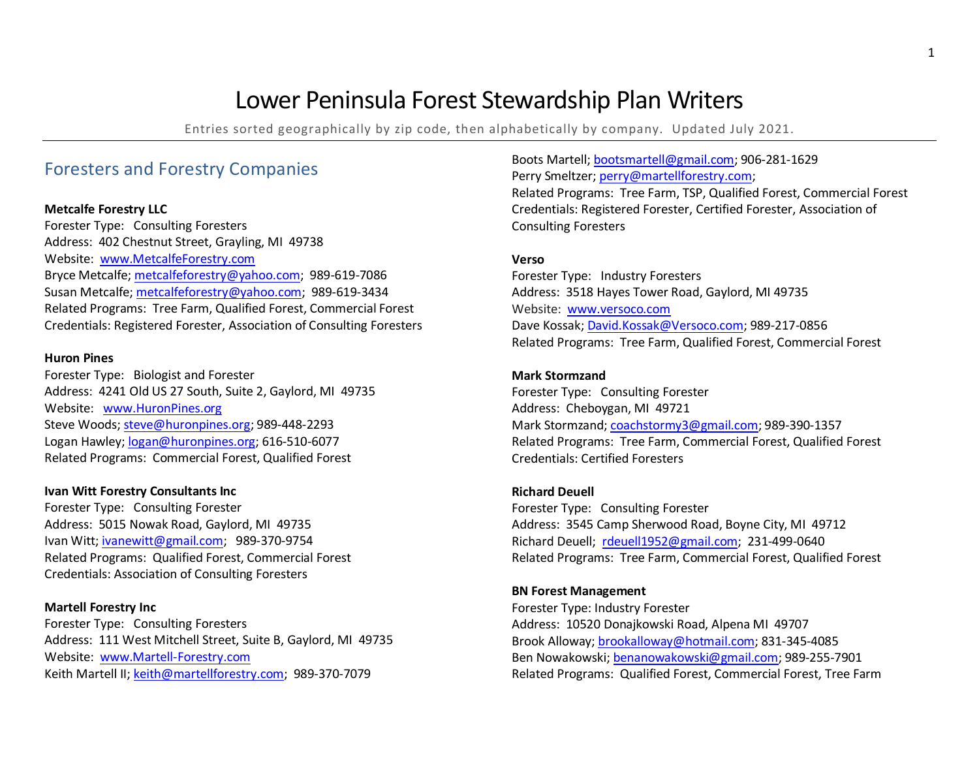# Lower Peninsula Forest Stewardship Plan Writers

Entries sorted geographically by zip code, then alphabetically by company. Updated July 2021.

## Foresters and Forestry Companies

## **Metcalfe Forestry LLC**

Forester Type: Consulting Foresters Address: 402 Chestnut Street, Grayling, MI 49738 Website: [www.MetcalfeForestry.com](http://www.metcalfeforestry.com/) Bryce Metcalfe[; metcalfeforestry@yahoo.com;](mailto:metcalfeforestry@yahoo.com) 989-619-7086 Susan Metcalfe; [metcalfeforestry@yahoo.com;](mailto:metcalfeforestry@yahoo.com) 989-619-3434 Related Programs: Tree Farm, Qualified Forest, Commercial Forest Credentials: Registered Forester, Association of Consulting Foresters

## **Huron Pines**

Forester Type: Biologist and Forester Address: 4241 Old US 27 South, Suite 2, Gaylord, MI 49735 Website: [www.HuronPines.org](http://www.huronpines.org/) Steve Woods; [steve@huronpines.org;](mailto:steve@huronpines.org) 989-448-2293 Logan Hawley[; logan@huronpines.org;](mailto:logan@huronpines.org) 616-510-6077 Related Programs: Commercial Forest, Qualified Forest

## **Ivan Witt Forestry Consultants Inc**

Forester Type: Consulting Forester Address: 5015 Nowak Road, Gaylord, MI 49735 Ivan Witt[; ivanewitt@gmail.com;](mailto:ivanewitt@gmail.com) 989-370-9754 Related Programs: Qualified Forest, Commercial Forest Credentials: Association of Consulting Foresters

## **Martell Forestry Inc**

Forester Type: Consulting Foresters Address: 111 West Mitchell Street, Suite B, Gaylord, MI 49735 Website: [www.Martell-Forestry.com](http://www.martell-forestry.com/) Keith Martell II; keith@martellforestry.com; 989-370-7079

Boots Martell; [bootsmartell@gmail.com;](mailto:bootsmartell@gmail.com) 906-281-1629 Perry Smeltzer; [perry@martellforestry.com;](mailto:perry@martellforestry.com) Related Programs: Tree Farm, TSP, Qualified Forest, Commercial Forest Credentials: Registered Forester, Certified Forester, Association of Consulting Foresters

## **Verso**

Forester Type: Industry Foresters Address: 3518 Hayes Tower Road, Gaylord, MI 49735 Website: [www.versoco.com](http://www.versoco.com/) Dave Kossak; [David.Kossak@Versoco.com;](mailto:David.Kossak@Versoco.com) 989-217-0856 Related Programs: Tree Farm, Qualified Forest, Commercial Forest

## **Mark Stormzand**

Forester Type: Consulting Forester Address: Cheboygan, MI 49721 Mark Stormzand; [coachstormy3@gmail.com;](mailto:coachstormy3@gmail.com) 989-390-1357 Related Programs: Tree Farm, Commercial Forest, Qualified Forest Credentials: Certified Foresters

## **Richard Deuell**

Forester Type: Consulting Forester Address: 3545 Camp Sherwood Road, Boyne City, MI 49712 Richard Deuell; [rdeuell1952@gmail.com;](mailto:rdeuell1952@gmail.com) 231-499-0640 Related Programs: Tree Farm, Commercial Forest, Qualified Forest

## **BN Forest Management**

Forester Type: Industry Forester Address: 10520 Donajkowski Road, Alpena MI 49707 Brook Alloway[; brookalloway@hotmail.com;](mailto:brookalloway@hotmail.com) 831-345-4085 Ben Nowakowski; [benanowakowski@gmail.com;](mailto:benanowakowski@gmail.com) 989-255-7901 Related Programs: Qualified Forest, Commercial Forest, Tree Farm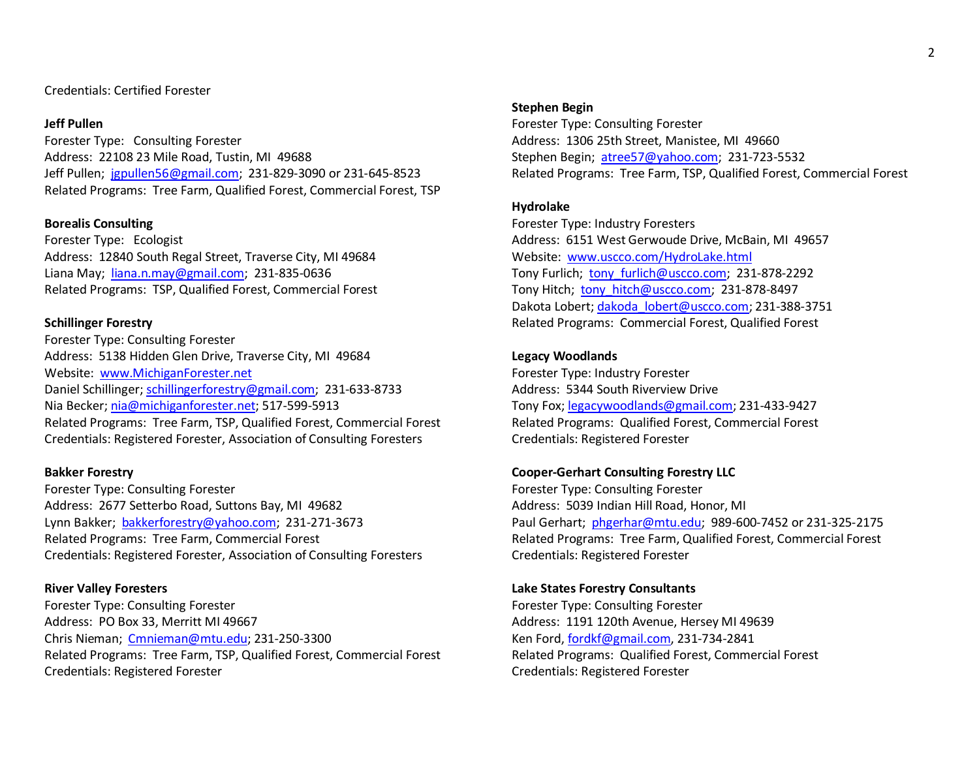## Credentials: Certified Forester

## **Jeff Pullen**

Forester Type: Consulting Forester Address: 22108 23 Mile Road, Tustin, MI 49688 Jeff Pullen; [jgpullen56@gmail.com;](mailto:jgpullen56@gmail.com) 231-829-3090 or 231-645-8523 Related Programs: Tree Farm, Qualified Forest, Commercial Forest, TSP

## **Borealis Consulting**

Forester Type: Ecologist Address: 12840 South Regal Street, Traverse City, MI 49684 Liana May; [liana.n.may@gmail.com;](mailto:liana.n.may@gmail.com) 231-835-0636 Related Programs: TSP, Qualified Forest, Commercial Forest

## **Schillinger Forestry**

Forester Type: Consulting Forester Address: 5138 Hidden Glen Drive, Traverse City, MI 49684 Website: [www.MichiganForester.net](http://www.michiganforester.net/) Daniel Schillinger[; schillingerforestry@gmail.com;](mailto:schillingerforestry@gmail.com) 231-633-8733 Nia Becker[; nia@michiganforester.net;](mailto:nia@michiganforester.net) 517-599-5913 Related Programs: Tree Farm, TSP, Qualified Forest, Commercial Forest Credentials: Registered Forester, Association of Consulting Foresters

## **Bakker Forestry**

Forester Type: Consulting Forester Address: 2677 Setterbo Road, Suttons Bay, MI 49682 Lynn Bakker; [bakkerforestry@yahoo.com;](mailto:bakkerforestry@yahoo.com) 231-271-3673 Related Programs: Tree Farm, Commercial Forest Credentials: Registered Forester, Association of Consulting Foresters

## **River Valley Foresters**

Forester Type: Consulting Forester Address: PO Box 33, Merritt MI 49667 Chris Nieman; [Cmnieman@mtu.edu;](mailto:Cmnieman@mtu.edu) 231-250-3300 Related Programs: Tree Farm, TSP, Qualified Forest, Commercial Forest Credentials: Registered Forester

#### **Stephen Begin**

Forester Type: Consulting Forester Address: 1306 25th Street, Manistee, MI 49660 Stephen Begin; [atree57@yahoo.com;](mailto:atree57@yahoo.com) 231-723-5532 Related Programs: Tree Farm, TSP, Qualified Forest, Commercial Forest

## **Hydrolake**

Forester Type: Industry Foresters Address: 6151 West Gerwoude Drive, McBain, MI 49657 Website: [www.uscco.com/HydroLake.html](http://www.uscco.com/HydroLake.html) Tony Furlich; tony furlich@uscco.com; 231-878-2292 Tony Hitch; tony hitch@uscco.com; 231-878-8497 Dakota Lobert; dakoda lobert@uscco.com; 231-388-3751 Related Programs: Commercial Forest, Qualified Forest

## **Legacy Woodlands**

Forester Type: Industry Forester Address: 5344 South Riverview Drive Tony Fox; [legacywoodlands@gmail.com;](mailto:legacywoodlands@gmail.com) 231-433-9427 Related Programs: Qualified Forest, Commercial Forest Credentials: Registered Forester

## **Cooper-Gerhart Consulting Forestry LLC**

Forester Type: Consulting Forester Address: 5039 Indian Hill Road, Honor, MI Paul Gerhart; [phgerhar@mtu.edu;](mailto:phgerhar@mtu.edu) 989-600-7452 or 231-325-2175 Related Programs: Tree Farm, Qualified Forest, Commercial Forest Credentials: Registered Forester

## **Lake States Forestry Consultants**

Forester Type: Consulting Forester Address: 1191 120th Avenue, Hersey MI 49639 Ken Ford, [fordkf@gmail.com,](mailto:fordkf@gmail.com) 231-734-2841 Related Programs: Qualified Forest, Commercial Forest Credentials: Registered Forester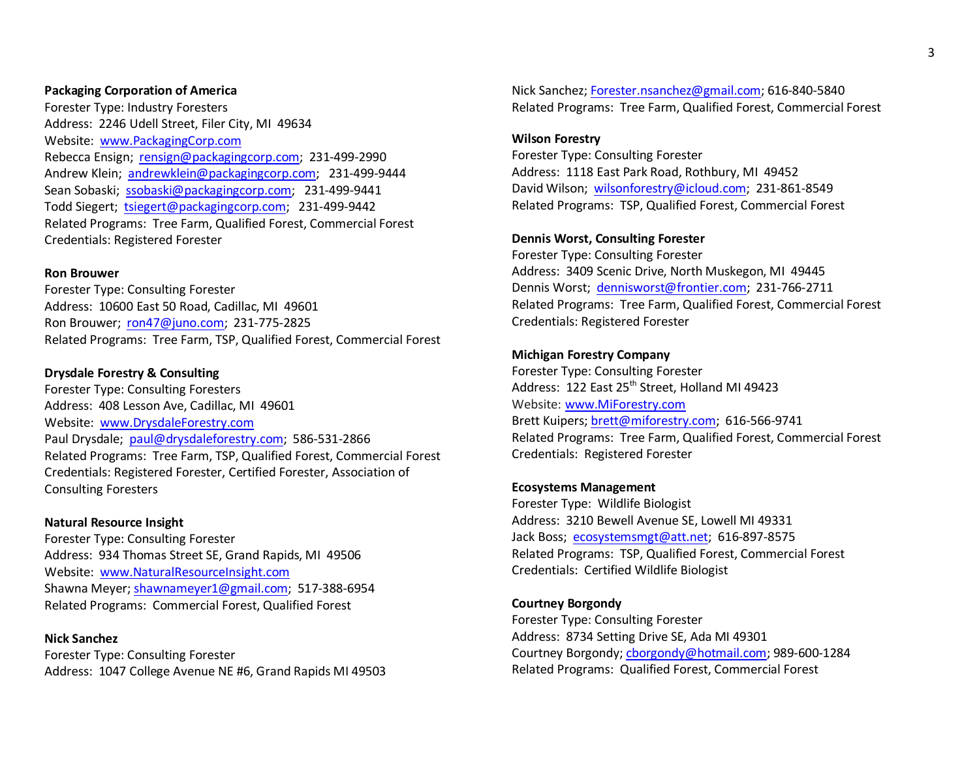## **Packaging Corporation of America**

Forester Type: Industry Foresters Address: 2246 Udell Street, Filer City, MI 49634 Website: [www.PackagingCorp.com](http://www.packagingcorp.com/)  Rebecca Ensign; [rensign@packagingcorp.com;](mailto:rensign@packagingcorp.com) 231-499-2990 Andrew Klein; [andrewklein@packagingcorp.com;](mailto:andrewklein@packagingcorp.com) 231-499-9444 Sean Sobaski; [ssobaski@packagingcorp.com;](mailto:ssobaski@packagingcorp.com) 231-499-9441 Todd Siegert; [tsiegert@packagingcorp.com;](mailto:tsiegert@packagingcorp.com) 231-499-9442 Related Programs: Tree Farm, Qualified Forest, Commercial Forest Credentials: Registered Forester

## **Ron Brouwer**

Forester Type: Consulting Forester Address: 10600 East 50 Road, Cadillac, MI 49601 Ron Brouwer; [ron47@juno.com;](mailto:ron47@juno.com) 231-775-2825 Related Programs: Tree Farm, TSP, Qualified Forest, Commercial Forest

### **Drysdale Forestry & Consulting**

Forester Type: Consulting Foresters Address: 408 Lesson Ave, Cadillac, MI 49601 Website: [www.DrysdaleForestry.com](http://www.drysdaleforestry.com/) Paul Drysdale; [paul@drysdaleforestry.com;](mailto:paul@drysdaleforestry.com) 586-531-2866 Related Programs: Tree Farm, TSP, Qualified Forest, Commercial Forest Credentials: Registered Forester, Certified Forester, Association of Consulting Foresters

### **Natural Resource Insight**

Forester Type: Consulting Forester Address: 934 Thomas Street SE, Grand Rapids, MI 49506 Website: [www.NaturalResourceInsight.com](http://www.naturalresourceinsight.com/) Shawna Meyer; [shawnameyer1@gmail.com;](mailto:shawnameyer1@gmail.com) 517-388-6954 Related Programs: Commercial Forest, Qualified Forest

**Nick Sanchez** Forester Type: Consulting Forester Address: 1047 College Avenue NE #6, Grand Rapids MI 49503 Nick Sanchez[; Forester.nsanchez@gmail.com;](mailto:Forester.nsanchez@gmail.com) 616-840-5840 Related Programs: Tree Farm, Qualified Forest, Commercial Forest

#### **Wilson Forestry**

Forester Type: Consulting Forester Address: 1118 East Park Road, Rothbury, MI 49452 David Wilson; [wilsonforestry@icloud.com;](mailto:wilsonforestry@icloud.com) 231-861-8549 Related Programs: TSP, Qualified Forest, Commercial Forest

## **Dennis Worst, Consulting Forester**

Forester Type: Consulting Forester Address: 3409 Scenic Drive, North Muskegon, MI 49445 Dennis Worst; [dennisworst@frontier.com;](mailto:dennisworst@frontier.com) 231-766-2711 Related Programs: Tree Farm, Qualified Forest, Commercial Forest Credentials: Registered Forester

## **Michigan Forestry Company**

Forester Type: Consulting Forester Address: 122 East 25<sup>th</sup> Street, Holland MI 49423 Website: [www.MiForestry.com](http://www.miforestry.com/) Brett Kuipers; [brett@miforestry.com;](mailto:brett@miforestry.com) 616-566-9741 Related Programs: Tree Farm, Qualified Forest, Commercial Forest Credentials: Registered Forester

### **Ecosystems Management**

Forester Type: Wildlife Biologist Address: 3210 Bewell Avenue SE, Lowell MI 49331 Jack Boss; [ecosystemsmgt@att.net;](mailto:ecosystemsmgt@att.net) 616-897-8575 Related Programs: TSP, Qualified Forest, Commercial Forest Credentials: Certified Wildlife Biologist

## **Courtney Borgondy**

Forester Type: Consulting Forester Address: 8734 Setting Drive SE, Ada MI 49301 Courtney Borgondy[; cborgondy@hotmail.com;](mailto:cborgondy@hotmail.com) 989-600-1284 Related Programs: Qualified Forest, Commercial Forest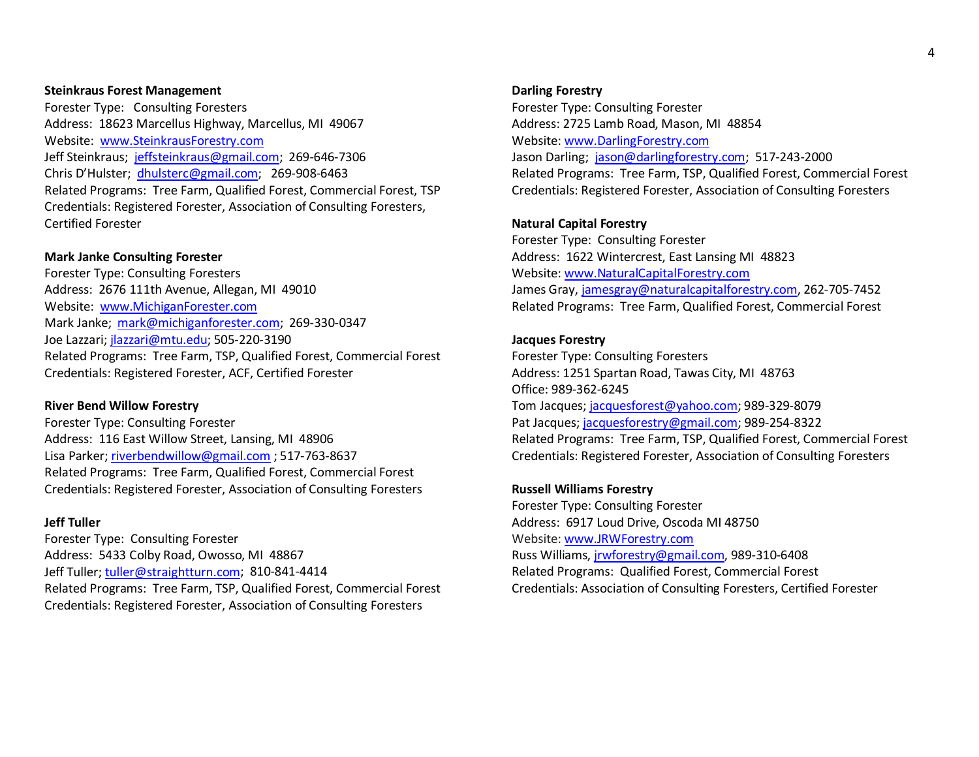#### **Steinkraus Forest Management**

Forester Type: Consulting Foresters Address: 18623 Marcellus Highway, Marcellus, MI 49067 Website: [www.SteinkrausForestry.com](http://www.steinkrausforestry.com/) Jeff Steinkraus; [jeffsteinkraus@gmail.com;](mailto:jeffsteinkraus@gmail.com) 269-646-7306 Chris D'Hulster; [dhulsterc@gmail.com;](mailto:dhulsterc@gmail.com) 269-908-6463 Related Programs: Tree Farm, Qualified Forest, Commercial Forest, TSP Credentials: Registered Forester, Association of Consulting Foresters, Certified Forester

#### **Mark Janke Consulting Forester**

Forester Type: Consulting Foresters Address: 2676 111th Avenue, Allegan, MI 49010 Website: [www.MichiganForester.com](http://www.michiganforester.com/) Mark Janke; [mark@michiganforester.com;](mailto:mark@michiganforester.com) 269-330-0347 Joe Lazzari; [jlazzari@mtu.edu;](mailto:jlazzari@mtu.edu) 505-220-3190 Related Programs: Tree Farm, TSP, Qualified Forest, Commercial Forest Credentials: Registered Forester, ACF, Certified Forester

#### **River Bend Willow Forestry**

Forester Type: Consulting Forester Address: 116 East Willow Street, Lansing, MI 48906 Lisa Parker[; riverbendwillow@gmail.com](mailto:riverbendwillow@gmail.com) ; 517-763-8637 Related Programs: Tree Farm, Qualified Forest, Commercial Forest Credentials: Registered Forester, Association of Consulting Foresters

## **Jeff Tuller**

Forester Type: Consulting Forester Address: 5433 Colby Road, Owosso, MI 48867 Jeff Tuller; [tuller@straightturn.com;](mailto:tuller@straightturn.com) 810-841-4414 Related Programs: Tree Farm, TSP, Qualified Forest, Commercial Forest Credentials: Registered Forester, Association of Consulting Foresters

## **Darling Forestry**

Forester Type: Consulting Forester Address: 2725 Lamb Road, Mason, MI 48854 Website[: www.DarlingForestry.com](http://www.darlingforestry.com/) Jason Darling; [jason@darlingforestry.com;](mailto:jason@darlingforestry.com) 517-243-2000 Related Programs: Tree Farm, TSP, Qualified Forest, Commercial Forest Credentials: Registered Forester, Association of Consulting Foresters

## **Natural Capital Forestry**

Forester Type: Consulting Forester Address: 1622 Wintercrest, East Lansing MI 48823 Website[: www.NaturalCapitalForestry.com](http://www.naturalcapitalforestry.com/) James Gray, [jamesgray@naturalcapitalforestry.com,](mailto:jamesgray@naturalcapitalforestry.com) 262-705-7452 Related Programs: Tree Farm, Qualified Forest, Commercial Forest

## **Jacques Forestry**

Forester Type: Consulting Foresters Address: 1251 Spartan Road, Tawas City, MI 48763 Office: 989-362-6245 Tom Jacques[; jacquesforest@yahoo.com;](mailto:jacquesforest@yahoo.com) 989-329-8079 Pat Jacques[; jacquesforestry@gmail.com;](mailto:jacquesforestry@gmail.com) 989-254-8322 Related Programs: Tree Farm, TSP, Qualified Forest, Commercial Forest Credentials: Registered Forester, Association of Consulting Foresters

### **Russell Williams Forestry**

Forester Type: Consulting Forester Address: 6917 Loud Drive, Oscoda MI 48750 Website[: www.JRWForestry.com](http://www.jrwforestry.com/) Russ Williams, jrwforestry@gmail.com, 989-310-6408 Related Programs: Qualified Forest, Commercial Forest Credentials: Association of Consulting Foresters, Certified Forester